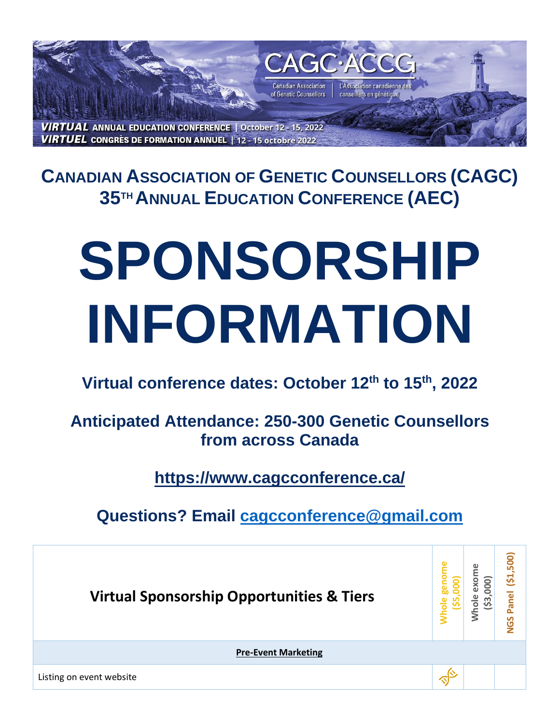

**CANADIAN ASSOCIATION OF GENETIC COUNSELLORS (CAGC) 35TH ANNUAL EDUCATION CONFERENCE (AEC)** 

## **SPONSORSHIP INFORMATION**

## **Virtual conference dates: October 12th to 15th, 2022**

**Anticipated Attendance: 250-300 Genetic Counsellors from across Canada**

**https://www.cagcconference.ca/**

**Questions? Email [cagcconference@gmail.com](mailto:cagcconference@gmail.com)**

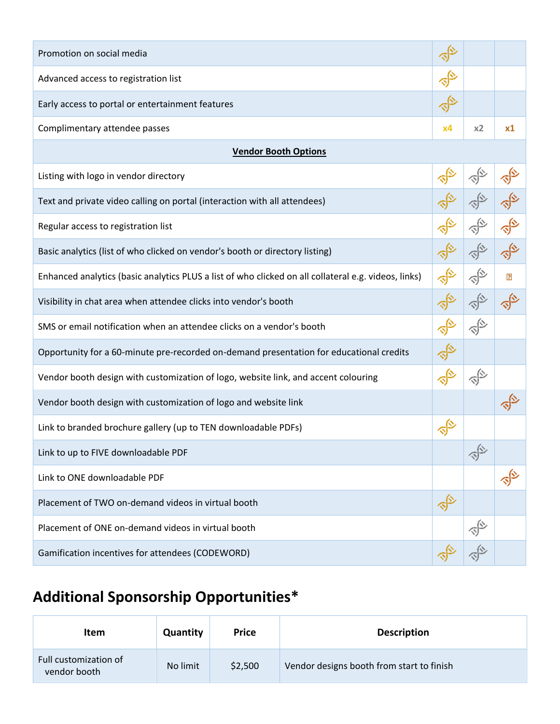| Promotion on social media                                                                            |            |                     |                |  |  |  |  |  |
|------------------------------------------------------------------------------------------------------|------------|---------------------|----------------|--|--|--|--|--|
| Advanced access to registration list                                                                 |            |                     |                |  |  |  |  |  |
| Early access to portal or entertainment features                                                     |            |                     |                |  |  |  |  |  |
| Complimentary attendee passes                                                                        | х4         | x2                  | x1             |  |  |  |  |  |
| <b>Vendor Booth Options</b>                                                                          |            |                     |                |  |  |  |  |  |
| Listing with logo in vendor directory                                                                |            |                     |                |  |  |  |  |  |
| Text and private video calling on portal (interaction with all attendees)                            |            |                     |                |  |  |  |  |  |
| Regular access to registration list                                                                  |            |                     |                |  |  |  |  |  |
| Basic analytics (list of who clicked on vendor's booth or directory listing)                         |            |                     |                |  |  |  |  |  |
| Enhanced analytics (basic analytics PLUS a list of who clicked on all collateral e.g. videos, links) |            |                     | $\overline{?}$ |  |  |  |  |  |
| Visibility in chat area when attendee clicks into vendor's booth                                     |            |                     |                |  |  |  |  |  |
| SMS or email notification when an attendee clicks on a vendor's booth                                |            |                     |                |  |  |  |  |  |
| Opportunity for a 60-minute pre-recorded on-demand presentation for educational credits              |            |                     |                |  |  |  |  |  |
| Vendor booth design with customization of logo, website link, and accent colouring                   |            |                     |                |  |  |  |  |  |
| Vendor booth design with customization of logo and website link                                      |            |                     |                |  |  |  |  |  |
| Link to branded brochure gallery (up to TEN downloadable PDFs)                                       | $\sqrt{2}$ |                     |                |  |  |  |  |  |
| Link to up to FIVE downloadable PDF                                                                  |            | 合                   |                |  |  |  |  |  |
| Link to ONE downloadable PDF                                                                         |            |                     |                |  |  |  |  |  |
| Placement of TWO on-demand videos in virtual booth                                                   | $\sqrt{2}$ |                     |                |  |  |  |  |  |
| Placement of ONE on-demand videos in virtual booth                                                   |            | $\hat{\mathcal{C}}$ |                |  |  |  |  |  |
| Gamification incentives for attendees (CODEWORD)                                                     |            |                     |                |  |  |  |  |  |

## **Additional Sponsorship Opportunities\***

| <b>Item</b>                           | Quantity | <b>Price</b> | <b>Description</b>                        |
|---------------------------------------|----------|--------------|-------------------------------------------|
| Full customization of<br>vendor booth | No limit | \$2,500      | Vendor designs booth from start to finish |